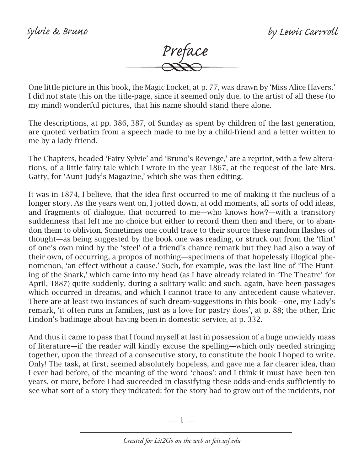

One little picture in this book, the Magic Locket, at p. 77, was drawn by 'Miss Alice Havers.' I did not state this on the title-page, since it seemed only due, to the artist of all these (to my mind) wonderful pictures, that his name should stand there alone.

The descriptions, at pp. 386, 387, of Sunday as spent by children of the last generation, are quoted verbatim from a speech made to me by a child-friend and a letter written to me by a lady-friend.

The Chapters, headed 'Fairy Sylvie' and 'Bruno's Revenge,' are a reprint, with a few alterations, of a little fairy-tale which I wrote in the year 1867, at the request of the late Mrs. Gatty, for 'Aunt Judy's Magazine,' which she was then editing.

It was in 1874, I believe, that the idea first occurred to me of making it the nucleus of a longer story. As the years went on, I jotted down, at odd moments, all sorts of odd ideas, and fragments of dialogue, that occurred to me—who knows how?—with a transitory suddenness that left me no choice but either to record them then and there, or to abandon them to oblivion. Sometimes one could trace to their source these random flashes of thought—as being suggested by the book one was reading, or struck out from the 'flint' of one's own mind by the 'steel' of a friend's chance remark but they had also a way of their own, of occurring, a propos of nothing—specimens of that hopelessly illogical phenomenon, 'an effect without a cause.' Such, for example, was the last line of 'The Hunting of the Snark,' which came into my head (as I have already related in 'The Theatre' for April, 1887) quite suddenly, during a solitary walk: and such, again, have been passages which occurred in dreams, and which I cannot trace to any antecedent cause whatever. There are at least two instances of such dream-suggestions in this book—one, my Lady's remark, 'it often runs in families, just as a love for pastry does', at p. 88; the other, Eric Lindon's badinage about having been in domestic service, at p. 332.

And thus it came to pass that I found myself at last in possession of a huge unwieldy mass of literature—if the reader will kindly excuse the spelling—which only needed stringing together, upon the thread of a consecutive story, to constitute the book I hoped to write. Only! The task, at first, seemed absolutely hopeless, and gave me a far clearer idea, than I ever had before, of the meaning of the word 'chaos': and I think it must have been ten years, or more, before I had succeeded in classifying these odds-and-ends sufficiently to see what sort of a story they indicated: for the story had to grow out of the incidents, not

—  $\mathbb{1}$  —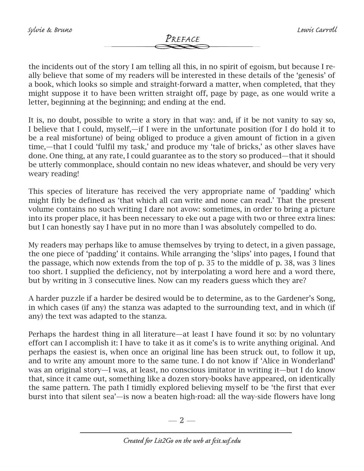the incidents out of the story I am telling all this, in no spirit of egoism, but because I really believe that some of my readers will be interested in these details of the 'genesis' of a book, which looks so simple and straight-forward a matter, when completed, that they might suppose it to have been written straight off, page by page, as one would write a letter, beginning at the beginning; and ending at the end.

It is, no doubt, possible to write a story in that way: and, if it be not vanity to say so, I believe that I could, myself,—if I were in the unfortunate position (for I do hold it to be a real misfortune) of being obliged to produce a given amount of fiction in a given time,—that I could 'fulfil my task,' and produce my 'tale of bricks,' as other slaves have done. One thing, at any rate, I could guarantee as to the story so produced—that it should be utterly commonplace, should contain no new ideas whatever, and should be very very weary reading!

This species of literature has received the very appropriate name of 'padding' which might fitly be defined as 'that which all can write and none can read.' That the present volume contains no such writing I dare not avow: sometimes, in order to bring a picture into its proper place, it has been necessary to eke out a page with two or three extra lines: but I can honestly say I have put in no more than I was absolutely compelled to do.

My readers may perhaps like to amuse themselves by trying to detect, in a given passage, the one piece of 'padding' it contains. While arranging the 'slips' into pages, I found that the passage, which now extends from the top of p. 35 to the middle of p. 38, was 3 lines too short. I supplied the deficiency, not by interpolating a word here and a word there, but by writing in 3 consecutive lines. Now can my readers guess which they are?

A harder puzzle if a harder be desired would be to determine, as to the Gardener's Song, in which cases (if any) the stanza was adapted to the surrounding text, and in which (if any) the text was adapted to the stanza.

Perhaps the hardest thing in all literature—at least I have found it so: by no voluntary effort can I accomplish it: I have to take it as it come's is to write anything original. And perhaps the easiest is, when once an original line has been struck out, to follow it up, and to write any amount more to the same tune. I do not know if 'Alice in Wonderland' was an original story—I was, at least, no conscious imitator in writing it—but I do know that, since it came out, something like a dozen story-books have appeared, on identically the same pattern. The path I timidly explored believing myself to be 'the first that ever burst into that silent sea'—is now a beaten high-road: all the way-side flowers have long

 $-2-$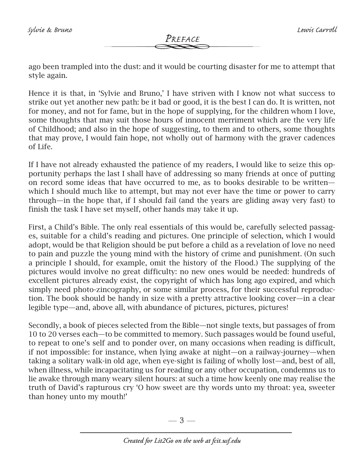## *Preface*

ago been trampled into the dust: and it would be courting disaster for me to attempt that style again.

Hence it is that, in 'Sylvie and Bruno,' I have striven with I know not what success to strike out yet another new path: be it bad or good, it is the best I can do. It is written, not for money, and not for fame, but in the hope of supplying, for the children whom I love, some thoughts that may suit those hours of innocent merriment which are the very life of Childhood; and also in the hope of suggesting, to them and to others, some thoughts that may prove, I would fain hope, not wholly out of harmony with the graver cadences of Life.

If I have not already exhausted the patience of my readers, I would like to seize this opportunity perhaps the last I shall have of addressing so many friends at once of putting on record some ideas that have occurred to me, as to books desirable to be written which I should much like to attempt, but may not ever have the time or power to carry through—in the hope that, if I should fail (and the years are gliding away very fast) to finish the task I have set myself, other hands may take it up.

First, a Child's Bible. The only real essentials of this would be, carefully selected passages, suitable for a child's reading and pictures. One principle of selection, which I would adopt, would be that Religion should be put before a child as a revelation of love no need to pain and puzzle the young mind with the history of crime and punishment. (On such a principle I should, for example, omit the history of the Flood.) The supplying of the pictures would involve no great difficulty: no new ones would be needed: hundreds of excellent pictures already exist, the copyright of which has long ago expired, and which simply need photo-zincography, or some similar process, for their successful reproduction. The book should be handy in size with a pretty attractive looking cover—in a clear legible type—and, above all, with abundance of pictures, pictures, pictures!

Secondly, a book of pieces selected from the Bible—not single texts, but passages of from 10 to 20 verses each—to be committed to memory. Such passages would be found useful, to repeat to one's self and to ponder over, on many occasions when reading is difficult, if not impossible: for instance, when lying awake at night—on a railway-journey—when taking a solitary walk-in old age, when eye-sight is failing of wholly lost—and, best of all, when illness, while incapacitating us for reading or any other occupation, condemns us to lie awake through many weary silent hours: at such a time how keenly one may realise the truth of David's rapturous cry 'O how sweet are thy words unto my throat: yea, sweeter than honey unto my mouth!'

 $-3-$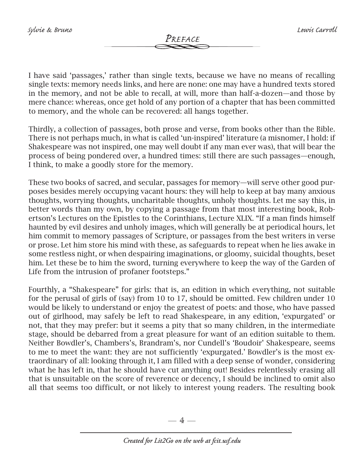I have said 'passages,' rather than single texts, because we have no means of recalling single texts: memory needs links, and here are none: one may have a hundred texts stored in the memory, and not be able to recall, at will, more than half-a-dozen—and those by mere chance: whereas, once get hold of any portion of a chapter that has been committed to memory, and the whole can be recovered: all hangs together.

Thirdly, a collection of passages, both prose and verse, from books other than the Bible. There is not perhaps much, in what is called 'un-inspired' literature (a misnomer, I hold: if Shakespeare was not inspired, one may well doubt if any man ever was), that will bear the process of being pondered over, a hundred times: still there are such passages—enough, I think, to make a goodly store for the memory.

These two books of sacred, and secular, passages for memory—will serve other good purposes besides merely occupying vacant hours: they will help to keep at bay many anxious thoughts, worrying thoughts, uncharitable thoughts, unholy thoughts. Let me say this, in better words than my own, by copying a passage from that most interesting book, Robertson's Lectures on the Epistles to the Corinthians, Lecture XLIX. "If a man finds himself haunted by evil desires and unholy images, which will generally be at periodical hours, let him commit to memory passages of Scripture, or passages from the best writers in verse or prose. Let him store his mind with these, as safeguards to repeat when he lies awake in some restless night, or when despairing imaginations, or gloomy, suicidal thoughts, beset him. Let these be to him the sword, turning everywhere to keep the way of the Garden of Life from the intrusion of profaner footsteps."

Fourthly, a "Shakespeare" for girls: that is, an edition in which everything, not suitable for the perusal of girls of (say) from 10 to 17, should be omitted. Few children under 10 would be likely to understand or enjoy the greatest of poets: and those, who have passed out of girlhood, may safely be left to read Shakespeare, in any edition, 'expurgated' or not, that they may prefer: but it seems a pity that so many children, in the intermediate stage, should be debarred from a great pleasure for want of an edition suitable to them. Neither Bowdler's, Chambers's, Brandram's, nor Cundell's 'Boudoir' Shakespeare, seems to me to meet the want: they are not sufficiently 'expurgated.' Bowdler's is the most extraordinary of all: looking through it, I am filled with a deep sense of wonder, considering what he has left in, that he should have cut anything out! Besides relentlessly erasing all that is unsuitable on the score of reverence or decency, I should be inclined to omit also all that seems too difficult, or not likely to interest young readers. The resulting book

 $-4-$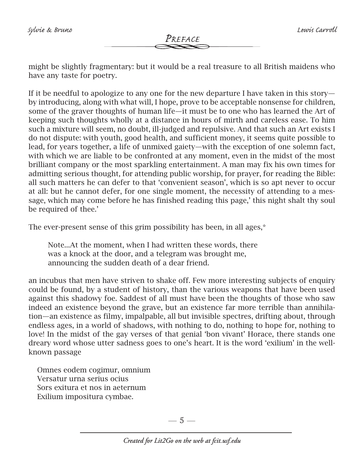might be slightly fragmentary: but it would be a real treasure to all British maidens who have any taste for poetry.

If it be needful to apologize to any one for the new departure I have taken in this story by introducing, along with what will, I hope, prove to be acceptable nonsense for children, some of the graver thoughts of human life—it must be to one who has learned the Art of keeping such thoughts wholly at a distance in hours of mirth and careless ease. To him such a mixture will seem, no doubt, ill-judged and repulsive. And that such an Art exists I do not dispute: with youth, good health, and sufficient money, it seems quite possible to lead, for years together, a life of unmixed gaiety—with the exception of one solemn fact, with which we are liable to be confronted at any moment, even in the midst of the most brilliant company or the most sparkling entertainment. A man may fix his own times for admitting serious thought, for attending public worship, for prayer, for reading the Bible: all such matters he can defer to that 'convenient season', which is so apt never to occur at all: but he cannot defer, for one single moment, the necessity of attending to a message, which may come before he has finished reading this page,' this night shalt thy soul be required of thee.'

The ever-present sense of this grim possibility has been, in all ages,\*

 Note...At the moment, when I had written these words, there was a knock at the door, and a telegram was brought me, announcing the sudden death of a dear friend.

an incubus that men have striven to shake off. Few more interesting subjects of enquiry could be found, by a student of history, than the various weapons that have been used against this shadowy foe. Saddest of all must have been the thoughts of those who saw indeed an existence beyond the grave, but an existence far more terrible than annihilation—an existence as filmy, impalpable, all but invisible spectres, drifting about, through endless ages, in a world of shadows, with nothing to do, nothing to hope for, nothing to love! In the midst of the gay verses of that genial 'bon vivant' Horace, there stands one dreary word whose utter sadness goes to one's heart. It is the word 'exilium' in the wellknown passage

 Omnes eodem cogimur, omnium Versatur urna serius ocius Sors exitura et nos in aeternum Exilium impositura cymbae.

 $-5-$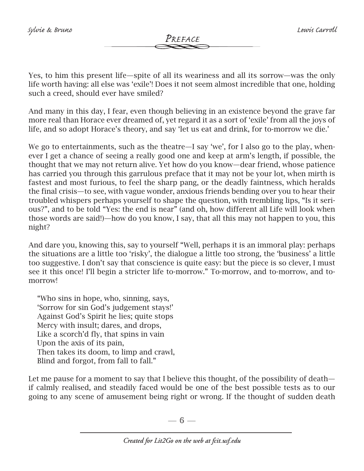*Preface*

Yes, to him this present life—spite of all its weariness and all its sorrow—was the only life worth having: all else was 'exile'! Does it not seem almost incredible that one, holding such a creed, should ever have smiled?

And many in this day, I fear, even though believing in an existence beyond the grave far more real than Horace ever dreamed of, yet regard it as a sort of 'exile' from all the joys of life, and so adopt Horace's theory, and say 'let us eat and drink, for to-morrow we die.'

We go to entertainments, such as the theatre—I say 'we', for I also go to the play, whenever I get a chance of seeing a really good one and keep at arm's length, if possible, the thought that we may not return alive. Yet how do you know—dear friend, whose patience has carried you through this garrulous preface that it may not be your lot, when mirth is fastest and most furious, to feel the sharp pang, or the deadly faintness, which heralds the final crisis—to see, with vague wonder, anxious friends bending over you to hear their troubled whispers perhaps yourself to shape the question, with trembling lips, "Is it serious?", and to be told "Yes: the end is near" (and oh, how different all Life will look when those words are said!)—how do you know, I say, that all this may not happen to you, this night?

And dare you, knowing this, say to yourself "Well, perhaps it is an immoral play: perhaps the situations are a little too 'risky', the dialogue a little too strong, the 'business' a little too suggestive. I don't say that conscience is quite easy: but the piece is so clever, I must see it this once! I'll begin a stricter life to-morrow." To-morrow, and to-morrow, and tomorrow!

 "Who sins in hope, who, sinning, says, 'Sorrow for sin God's judgement stays!' Against God's Spirit he lies; quite stops Mercy with insult; dares, and drops, Like a scorch'd fly, that spins in vain Upon the axis of its pain, Then takes its doom, to limp and crawl, Blind and forgot, from fall to fall."

Let me pause for a moment to say that I believe this thought, of the possibility of death if calmly realised, and steadily faced would be one of the best possible tests as to our going to any scene of amusement being right or wrong. If the thought of sudden death

 $-6-$